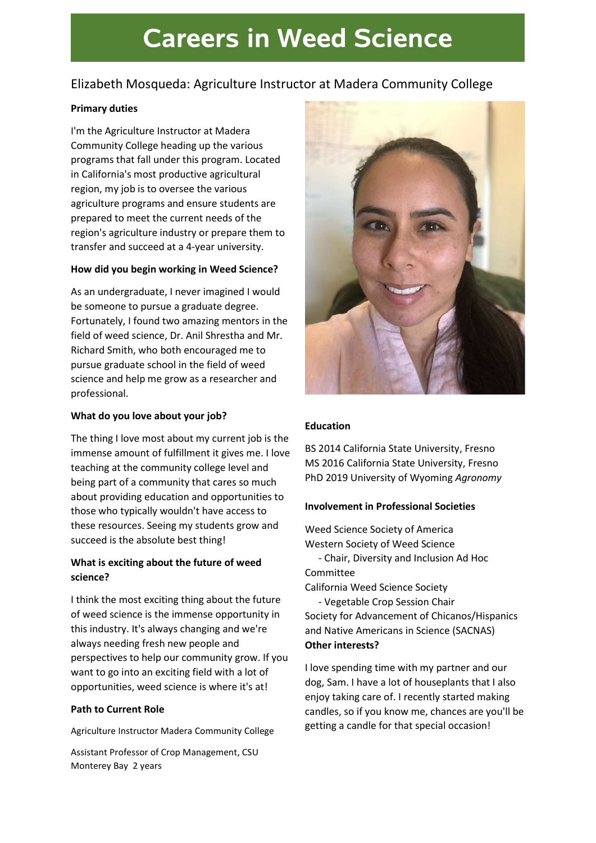# **Careers in Weed Science**

### Elizabeth Mosqueda: Agriculture Instructor at Madera Community College

#### Primary duties

I'm the Agriculture Instructor at Madera Community College heading up the various programs that fall under this program. Located in California's most productive agricultural region, my job is to oversee the various agriculture programs and ensure students are prepared to meet the current needs of the region's agriculture industry or prepare them to transfer and succeed at a 4-year university.

#### How did you begin working in Weed Science?

As an undergraduate, I never imagined I would be someone to pursue a graduate degree. Fortunately, I found two amazing mentors in the field of weed science, Dr. Anil Shrestha and Mr. Richard Smith, who both encouraged me to pursue graduate school in the field of weed science and help me grow as a researcher and professional.

#### What do you love about your job?

The thing I love most about my current job is the immense amount of fulfillment it gives me. I love teaching at the community college level and being part of a community that cares so much about providing education and opportunities to those who typically wouldn't have access to these resources. Seeing my students grow and succeed is the absolute best thing!

#### What is exciting about the future of weed science?

I think the most exciting thing about the future of weed science is the immense opportunity in this industry. It's always changing and we're always needing fresh new people and perspectives to help our community grow. If you want to go into an exciting field with a lot of opportunities, weed science is where it's at!

#### Path to Current Role

Agriculture Instructor Madera Community College

Assistant Professor of Crop Management, CSU Monterey Bay 2 years



#### Education

BS 2014 California State University, Fresno MS 2016 California State University, Fresno PhD 2019 University of Wyoming Agronomy

#### Involvement in Professional Societies

Weed Science Society of America Western Society of Weed Science - Chair, Diversity and Inclusion Ad Hoc Committee California Weed Science Society

- Vegetable Crop Session Chair Society for Advancement of Chicanos/Hispanics and Native Americans in Science (SACNAS) Other interests?

I love spending time with my partner and our dog, Sam. I have a lot of houseplants that I also enjoy taking care of. I recently started making candles, so if you know me, chances are you'll be getting a candle for that special occasion!